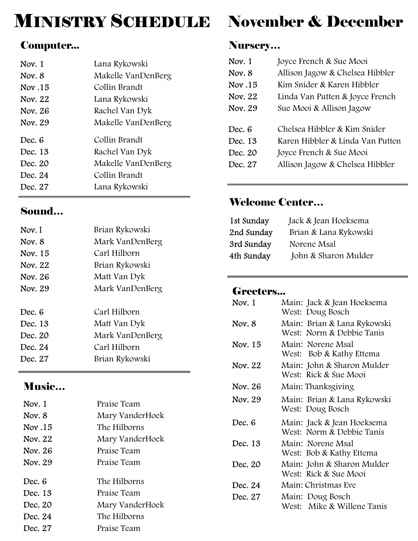## MINISTRY SCHEDULE November & December

#### Computer...

| Nov. $1$ | Lana Rykowski      |
|----------|--------------------|
| Nov. 8   | Makelle VanDenBerg |
| Nov.15   | Collin Brandt      |
| Nov. 22  | Lana Rykowski      |
| Nov. 26  | Rachel Van Dyk     |
| Nov. 29  | Makelle VanDenBerg |
| Dec. 6   | Collin Brandt      |
| Dec. 13  | Rachel Van Dyk     |
| Dec. 20  | Makelle VanDenBerg |
| Dec. 24  | Collin Brandt      |
| Dec. 27  | Lana Rykowski      |

#### Sound…

| Nov. 1  | Brian Rykowski  |
|---------|-----------------|
| Nov. 8  | Mark VanDenBerg |
| Nov. 15 | Carl Hilborn    |
| Nov. 22 | Brian Rykowski  |
| Nov. 26 | Matt Van Dyk    |
| Nov. 29 | Mark VanDenBerg |
|         |                 |
|         |                 |
| Dec. 6  | Carl Hilborn    |
| Dec. 13 | Matt Van Dyk    |
| Dec. 20 | Mark VanDenBerg |
| Dec. 24 | Carl Hilborn    |
| Dec. 27 | Brian Rykowski  |

#### Music…

| Nov. $1$ | Praise Team     |
|----------|-----------------|
| Nov. 8   | Mary VanderHoek |
| Nov.15   | The Hilborns    |
| Nov. 22  | Mary VanderHoek |
| Nov. 26  | Praise Team     |
| Nov. 29  | Praise Team     |
| Dec. 6   | The Hilborns    |
| Dec. 13  | Praise Team     |
| Dec. 20  | Mary VanderHoek |
| Dec. 24  | The Hilborns    |
| Dec. 27  | Praise Team     |

#### Nursery…

| Nov. 1<br>Nov. 8<br>Nov.15<br>Nov. 22 | Joyce French & Sue Mooi<br>Allison Jagow & Chelsea Hibbler<br>Kim Snider & Karen Hibbler<br>Linda Van Putten & Joyce French |
|---------------------------------------|-----------------------------------------------------------------------------------------------------------------------------|
| Nov. 29                               | Sue Mooi & Allison Jagow                                                                                                    |
| Dec. 6                                | Chelsea Hibbler & Kim Snider                                                                                                |
| Dec. 13                               | Karen Hibbler & Linda Van Putten                                                                                            |
| Dec. 20                               | Joyce French & Sue Mooi                                                                                                     |
| Dec. 27                               | Allison Jagow & Chelsea Hibbler                                                                                             |

### Welcome Center…

| 1st Sunday | Jack & Jean Hoeksema  |
|------------|-----------------------|
| 2nd Sunday | Brian & Lana Rykowski |
| 3rd Sunday | Norene Msal           |
| 4th Sunday | John & Sharon Mulder  |

#### Greeters...

| Nov. 1  | Main: Jack & Jean Hoeksema<br>West: Doug Bosch           |
|---------|----------------------------------------------------------|
| Nov. 8  | Main: Brian & Lana Rykowski<br>West: Norm & Debbie Tanis |
| Nov. 15 | Main: Norene Msal<br>West: Bob & Kathy Ettema            |
| Nov. 22 | Main: John & Sharon Mulder<br>West: Rick & Sue Mooi      |
| Nov. 26 | Main: Thanksgiving                                       |
| Nov. 29 | Main: Brian & Lana Rykowski<br>West: Doug Bosch          |
| Dec. 6  | Main: Jack & Jean Hoeksema<br>West: Norm & Debbie Tanis  |
| Dec. 13 | Main: Norene Msal<br>West: Bob & Kathy Ettema            |
| Dec. 20 | Main: John & Sharon Mulder<br>West: Rick & Sue Mooi      |
| Dec. 24 | Main: Christmas Eve                                      |
| Dec. 27 | Main: Doug Bosch<br>West: Mike & Willene Tanis           |